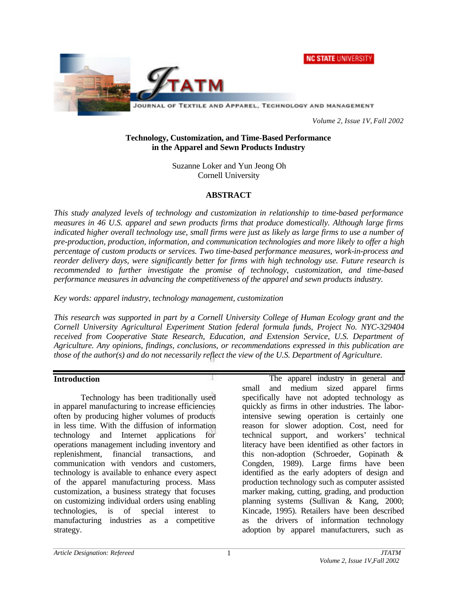**NC STATE UNIVERSITY** 



*Volume 2, Issue 1V, Fall 2002*

#### **Technology, Customization, and Time-Based Performance in the Apparel and Sewn Products Industry**

Suzanne Loker and Yun Jeong Oh Cornell University

### **ABSTRACT**

*This study analyzed levels of technology and customization in relationship to time-based performance measures in 46 U.S. apparel and sewn products firms that produce domestically. Although large firms indicated higher overall technology use, small firms were just as likely as large firms to use a number of pre-production, production, information, and communication technologies and more likely to offer a high percentage of custom products or services. Two time-based performance measures, work-in-process and reorder delivery days, were significantly better for firms with high technology use. Future research is recommended to further investigate the promise of technology, customization, and time-based performance measures in advancing the competitiveness of the apparel and sewn products industry.*

*Key words: apparel industry, technology management, customization*

*This research was supported in part by a Cornell University College of Human Ecology grant and the Cornell University Agricultural Experiment Station federal formula funds, Project No. NYC-329404 received from Cooperative State Research, Education, and Extension Service, U.S. Department of Agriculture. Any opinions, findings, conclusions, or recommendations expressed in this publication are those of the author(s) and do not necessarily reflect the view of the U.S. Department of Agriculture.*

### **Introduction**

Technology has been traditionally used in apparel manufacturing to increase efficiencies often by producing higher volumes of products in less time. With the diffusion of information technology and Internet applications for operations management including inventory and replenishment, financial transactions, and communication with vendors and customers, technology is available to enhance every aspect of the apparel manufacturing process. Mass customization, a business strategy that focuses on customizing individual orders using enabling technologies, is of special interest to manufacturing industries as a competitive strategy.

The apparel industry in general and small and medium sized apparel firms specifically have not adopted technology as quickly as firms in other industries. The laborintensive sewing operation is certainly one reason for slower adoption. Cost, need for technical support, and workers' technical literacy have been identified as other factors in this non-adoption (Schroeder, Gopinath & Congden, 1989). Large firms have been identified as the early adopters of design and production technology such as computer assisted marker making, cutting, grading, and production planning systems (Sullivan & Kang, 2000; Kincade, 1995). Retailers have been described as the drivers of information technology adoption by apparel manufacturers, such as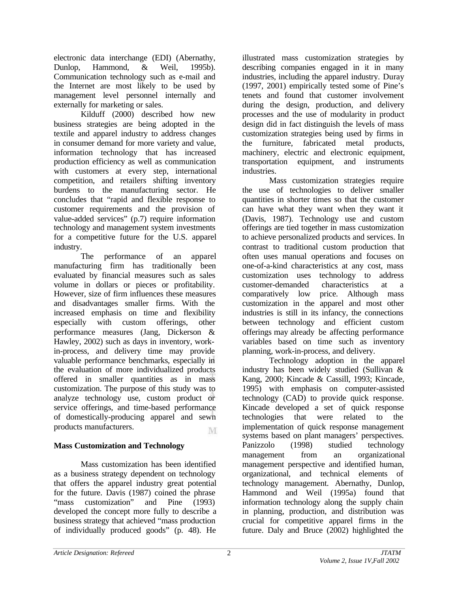electronic data interchange (EDI) (Abernathy, Dunlop, Hammond, & Weil, 1995b). Communication technology such as e-mail and the Internet are most likely to be used by management level personnel internally and externally for marketing or sales.

Kilduff (2000) described how new business strategies are being adopted in the textile and apparel industry to address changes in consumer demand for more variety and value, information technology that has increased production efficiency as well as communication with customers at every step, international competition, and retailers shifting inventory burdens to the manufacturing sector. He concludes that "rapid and flexible response to customer requirements and the provision of value-added services" (p.7) require information technology and management system investments for a competitive future for the U.S. apparel industry.

The performance of an apparel manufacturing firm has traditionally been evaluated by financial measures such as sales volume in dollars or pieces or profitability. However, size of firm influences these measures and disadvantages smaller firms. With the increased emphasis on time and flexibility especially with custom offerings, other performance measures (Jang, Dickerson & Hawley, 2002) such as days in inventory, workin-process, and delivery time may provide valuable performance benchmarks, especially in the evaluation of more individualized products offered in smaller quantities as in mass customization. The purpose of this study was to analyze technology use, custom product or service offerings, and time-based performance of domestically-producing apparel and sewn products manufacturers. M

# **Mass Customization and Technology**

Mass customization has been identified as a business strategy dependent on technology that offers the apparel industry great potential for the future. Davis (1987) coined the phrase "mass customization" and Pine (1993) developed the concept more fully to describe a business strategy that achieved "mass production of individually produced goods" (p. 48). He

illustrated mass customization strategies by describing companies engaged in it in many industries, including the apparel industry. Duray (1997, 2001) empirically tested some of Pine's tenets and found that customer involvement during the design, production, and delivery processes and the use of modularity in product design did in fact distinguish the levels of mass customization strategies being used by firms in the furniture, fabricated metal products, machinery, electric and electronic equipment, transportation equipment, and instruments industries.

Mass customization strategies require the use of technologies to deliver smaller quantities in shorter times so that the customer can have what they want when they want it (Davis, 1987). Technology use and custom offerings are tied together in mass customization to achieve personalized products and services. In contrast to traditional custom production that often uses manual operations and focuses on one-of-a-kind characteristics at any cost, mass customization uses technology to address customer-demanded characteristics at a comparatively low price. Although mass customization in the apparel and most other industries is still in its infancy, the connections between technology and efficient custom offerings may already be affecting performance variables based on time such as inventory planning, work-in-process, and delivery.

Technology adoption in the apparel industry has been widely studied (Sullivan & Kang, 2000; Kincade & Cassill, 1993; Kincade, 1995) with emphasis on computer-assisted technology (CAD) to provide quick response. Kincade developed a set of quick response technologies that were related to the implementation of quick response management systems based on plant managers' perspectives. Panizzolo (1998) studied technology management from an organizational management perspective and identified human, organizational, and technical elements of technology management. Abernathy, Dunlop, Hammond and Weil (1995a) found that information technology along the supply chain in planning, production, and distribution was crucial for competitive apparel firms in the future. Daly and Bruce (2002) highlighted the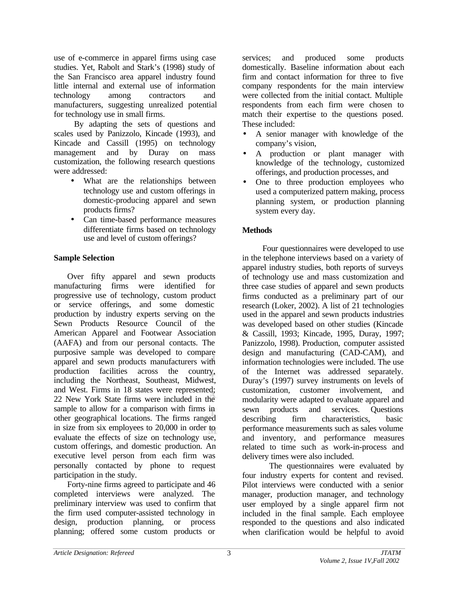use of e-commerce in apparel firms using case studies. Yet, Rabolt and Stark's (1998) study of the San Francisco area apparel industry found little internal and external use of information technology among contractors and manufacturers, suggesting unrealized potential for technology use in small firms.

By adapting the sets of questions and scales used by Panizzolo, Kincade (1993), and Kincade and Cassill (1995) on technology management and by Duray on mass customization, the following research questions were addressed:

- What are the relationships between technology use and custom offerings in domestic-producing apparel and sewn products firms?
- Can time-based performance measures differentiate firms based on technology use and level of custom offerings?

# **Sample Selection**

Over fifty apparel and sewn products manufacturing firms were identified for progressive use of technology, custom product or service offerings, and some domestic production by industry experts serving on the Sewn Products Resource Council of the American Apparel and Footwear Association (AAFA) and from our personal contacts. The purposive sample was developed to compare apparel and sewn products manufacturers with production facilities across the country, including the Northeast, Southeast, Midwest, and West. Firms in 18 states were represented; 22 New York State firms were included in the sample to allow for a comparison with firms in other geographical locations. The firms ranged in size from six employees to 20,000 in order to evaluate the effects of size on technology use, custom offerings, and domestic production. An executive level person from each firm was personally contacted by phone to request participation in the study.

Forty-nine firms agreed to participate and 46 completed interviews were analyzed. The preliminary interview was used to confirm that the firm used computer-assisted technology in design, production planning, or process planning; offered some custom products or

services; and produced some products domestically. Baseline information about each firm and contact information for three to five company respondents for the main interview were collected from the initial contact. Multiple respondents from each firm were chosen to match their expertise to the questions posed. These included:

- A senior manager with knowledge of the company's vision,
- A production or plant manager with knowledge of the technology, customized offerings, and production processes, and
- One to three production employees who used a computerized pattern making, process planning system, or production planning system every day.

# **Methods**

Four questionnaires were developed to use in the telephone interviews based on a variety of apparel industry studies, both reports of surveys of technology use and mass customization and three case studies of apparel and sewn products firms conducted as a preliminary part of our research (Loker, 2002). A list of 21 technologies used in the apparel and sewn products industries was developed based on other studies (Kincade & Cassill, 1993; Kincade, 1995, Duray, 1997; Panizzolo, 1998). Production, computer assisted design and manufacturing (CAD-CAM), and information technologies were included. The use of the Internet was addressed separately. Duray's (1997) survey instruments on levels of customization, customer involvement, and modularity were adapted to evaluate apparel and sewn products and services. Questions describing firm characteristics, basic performance measurements such as sales volume and inventory, and performance measures related to time such as work-in-process and delivery times were also included.

The questionnaires were evaluated by four industry experts for content and revised. Pilot interviews were conducted with a senior manager, production manager, and technology user employed by a single apparel firm not included in the final sample. Each employee responded to the questions and also indicated when clarification would be helpful to avoid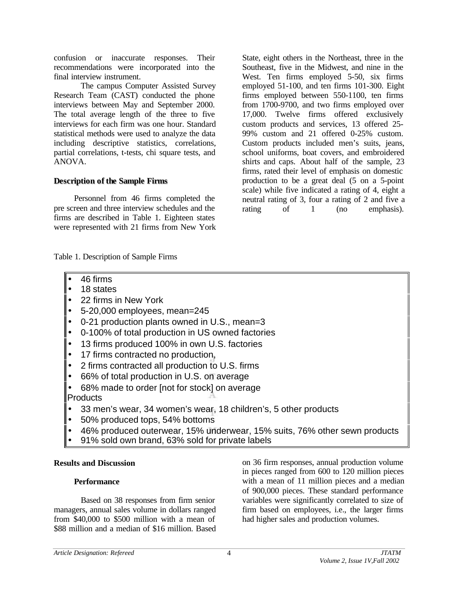confusion or inaccurate responses. Their recommendations were incorporated into the final interview instrument.

The campus Computer Assisted Survey Research Team (CAST) conducted the phone interviews between May and September 2000. The total average length of the three to five interviews for each firm was one hour. Standard statistical methods were used to analyze the data including descriptive statistics, correlations, partial correlations, t-tests, chi square tests, and ANOVA.

### **Description of the Sample Firms**

Personnel from 46 firms completed the pre screen and three interview schedules and the firms are described in Table 1. Eighteen states were represented with 21 firms from New York State, eight others in the Northeast, three in the Southeast, five in the Midwest, and nine in the West. Ten firms employed 5-50, six firms employed 51-100, and ten firms 101-300. Eight firms employed between 550-1100, ten firms from 1700-9700, and two firms employed over 17,000. Twelve firms offered exclusively custom products and services, 13 offered 25- 99% custom and 21 offered 0-25% custom. Custom products included men's suits, jeans, school uniforms, boat covers, and embroidered shirts and caps. About half of the sample, 23 firms, rated their level of emphasis on domestic production to be a great deal (5 on a 5-point scale) while five indicated a rating of 4, eight a neutral rating of 3, four a rating of 2 and five a rating of 1 (no emphasis).

Table 1. Description of Sample Firms

- 46 firms
- 18 states
- 22 firms in New York
- 5-20,000 employees, mean=245
- 0-21 production plants owned in U.S., mean=3
- 0-100% of total production in US owned factories
- 13 firms produced 100% in own U.S. factories
- 17 firms contracted no production,
- 2 firms contracted all production to U.S. firms
- 66% of total production in U.S. on average
- 68% made to order [not for stock] on average Products
- 33 men's wear, 34 women's wear, 18 children's, 5 other products
- 50% produced tops, 54% bottoms
- 46% produced outerwear, 15% underwear, 15% suits, 76% other sewn products
- 91% sold own brand, 63% sold for private labels

### **Results and Discussion**

### **Performance**

Based on 38 responses from firm senior managers, annual sales volume in dollars ranged from \$40,000 to \$500 million with a mean of \$88 million and a median of \$16 million. Based on 36 firm responses, annual production volume in pieces ranged from 600 to 120 million pieces with a mean of 11 million pieces and a median of 900,000 pieces. These standard performance variables were significantly correlated to size of firm based on employees, i.e., the larger firms had higher sales and production volumes.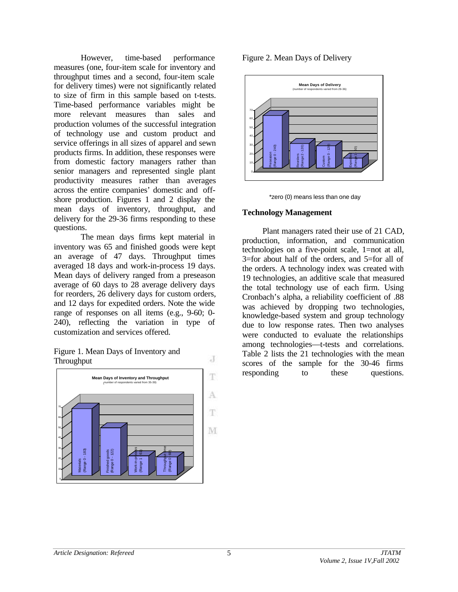However, time-based performance measures (one, four-item scale for inventory and throughput times and a second, four-item scale for delivery times) were not significantly related to size of firm in this sample based on t-tests. Time-based performance variables might be more relevant measures than sales and production volumes of the successful integration of technology use and custom product and service offerings in all sizes of apparel and sewn products firms. In addition, these responses were from domestic factory managers rather than senior managers and represented single plant productivity measures rather than averages across the entire companies' domestic and offshore production. Figures 1 and 2 display the mean days of inventory, throughput, and delivery for the 29-36 firms responding to these questions.

The mean days firms kept material in inventory was 65 and finished goods were kept an average of 47 days. Throughput times averaged 18 days and work-in-process 19 days. Mean days of delivery ranged from a preseason average of 60 days to 28 average delivery days for reorders, 26 delivery days for custom orders, and 12 days for expedited orders. Note the wide range of responses on all items (e.g., 9-60; 0- 240), reflecting the variation in type of customization and services offered.





Figure 2. Mean Days of Delivery



\*zero (0) means less than one day

#### **Technology Management**

Plant managers rated their use of 21 CAD, production, information, and communication technologies on a five-point scale, 1=not at all, 3=for about half of the orders, and 5=for all of the orders. A technology index was created with 19 technologies, an additive scale that measured the total technology use of each firm. Using Cronbach's alpha, a reliability coefficient of .88 was achieved by dropping two technologies, knowledge-based system and group technology due to low response rates. Then two analyses were conducted to evaluate the relationships among technologies—t-tests and correlations. Table 2 lists the 21 technologies with the mean scores of the sample for the 30-46 firms responding to these questions.

J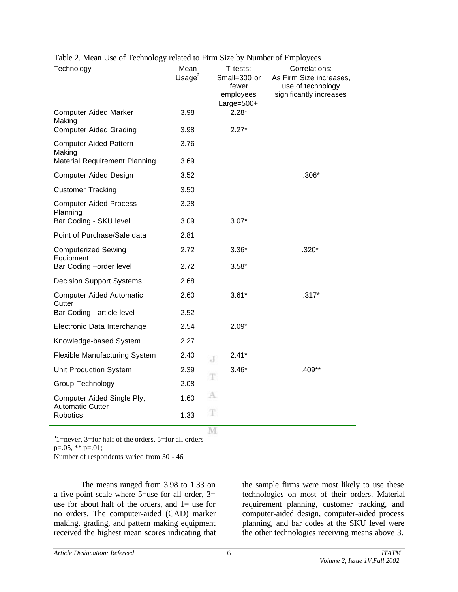| Technology                                            | Mean               | T-tests:              | Correlations:                                |
|-------------------------------------------------------|--------------------|-----------------------|----------------------------------------------|
|                                                       | Usage <sup>a</sup> | Small=300 or<br>fewer | As Firm Size increases,<br>use of technology |
|                                                       |                    | employees             | significantly increases                      |
|                                                       |                    | $Large=500+$          |                                              |
| <b>Computer Aided Marker</b><br>Making                | 3.98               | $2.28*$               |                                              |
| <b>Computer Aided Grading</b>                         | 3.98               | $2.27*$               |                                              |
| <b>Computer Aided Pattern</b><br>Making               | 3.76               |                       |                                              |
| Material Requirement Planning                         | 3.69               |                       |                                              |
| <b>Computer Aided Design</b>                          | 3.52               |                       | $.306*$                                      |
| <b>Customer Tracking</b>                              | 3.50               |                       |                                              |
| <b>Computer Aided Process</b><br>Planning             | 3.28               |                       |                                              |
| Bar Coding - SKU level                                | 3.09               | $3.07*$               |                                              |
| Point of Purchase/Sale data                           | 2.81               |                       |                                              |
| <b>Computerized Sewing</b><br>Equipment               | 2.72               | $3.36*$               | $.320*$                                      |
| Bar Coding -order level                               | 2.72               | $3.58*$               |                                              |
| <b>Decision Support Systems</b>                       | 2.68               |                       |                                              |
| <b>Computer Aided Automatic</b><br>Cutter             | 2.60               | $3.61*$               | $.317*$                                      |
| Bar Coding - article level                            | 2.52               |                       |                                              |
| Electronic Data Interchange                           | 2.54               | $2.09*$               |                                              |
| Knowledge-based System                                | 2.27               |                       |                                              |
| <b>Flexible Manufacturing System</b>                  | 2.40               | $2.41*$<br>J          |                                              |
| Unit Production System                                | 2.39               | $3.46*$<br>T          | .409**                                       |
| Group Technology                                      | 2.08               |                       |                                              |
| Computer Aided Single Ply,<br><b>Automatic Cutter</b> | 1.60               | A                     |                                              |
| Robotics                                              | 1.33               | T                     |                                              |
|                                                       |                    | M                     |                                              |

#### Table 2. Mean Use of Technology related to Firm Size by Number of Employees

<sup>a</sup>l=never, 3=for half of the orders, 5=for all orders

p=.05, \*\* p=.01;

Number of respondents varied from 30 - 46

The means ranged from 3.98 to 1.33 on a five-point scale where  $5 =$ use for all order,  $3 =$ use for about half of the orders, and  $1=$  use for no orders. The computer-aided (CAD) marker making, grading, and pattern making equipment received the highest mean scores indicating that the sample firms were most likely to use these technologies on most of their orders. Material requirement planning, customer tracking, and computer-aided design, computer-aided process planning, and bar codes at the SKU level were the other technologies receiving means above 3.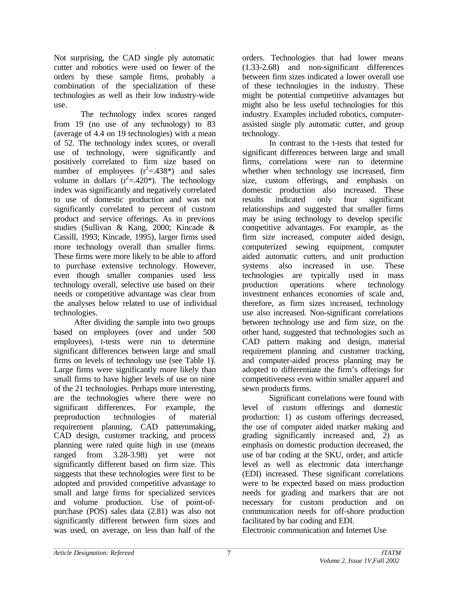Not surprising, the CAD single ply automatic cutter and robotics were used on fewer of the orders by these sample firms, probably a combination of the specialization of these technologies as well as their low industry-wide use.

The technology index scores ranged from 19 (no use of any technology) to 83 (average of 4.4 on 19 technologies) with a mean of 52. The technology index scores, or overall use of technology, were significantly and positively correlated to firm size based on number of employees  $(r^2=438^*)$  and sales volume in dollars  $(r^2=.420^*)$ . The technology index was significantly and negatively correlated to use of domestic production and was not significantly correlated to percent of custom product and service offerings. As in previous studies (Sullivan & Kang, 2000; Kincade & Cassill, 1993; Kincade, 1995), larger firms used more technology overall than smaller firms. These firms were more likely to be able to afford to purchase extensive technology. However, even though smaller companies used less technology overall, selective use based on their needs or competitive advantage was clear from the analyses below related to use of individual technologies.

After dividing the sample into two groups based on employees (over and under 500 employees), t-tests were run to determine significant differences between large and small firms on levels of technology use (see Table 1). Large firms were significantly more likely than small firms to have higher levels of use on nine of the 21 technologies. Perhaps more interesting, are the technologies where there were no significant differences. For example, the preproduction technologies of material requirement planning, CAD patternmaking, CAD design, customer tracking, and process planning were rated quite high in use (means ranged from 3.28-3.98) yet were not significantly different based on firm size. This suggests that these technologies were first to be adopted and provided competitive advantage to small and large firms for specialized services and volume production. Use of point-ofpurchase (POS) sales data (2.81) was also not significantly different between firm sizes and was used, on average, on less than half of the

orders. Technologies that had lower means (1.33-2.68) and non-significant differences between firm sizes indicated a lower overall use of these technologies in the industry. These might be potential competitive advantages but might also be less useful technologies for this industry. Examples included robotics, computerassisted single ply automatic cutter, and group technology.

In contrast to the t-tests that tested for significant differences between large and small firms, correlations were run to determine whether when technology use increased, firm size, custom offerings, and emphasis on domestic production also increased. These results indicated only four significant relationships and suggested that smaller firms may be using technology to develop specific competitive advantages. For example, as the firm size increased, computer aided design, computerized sewing equipment, computer aided automatic cutters, and unit production systems also increased in use. These technologies are typically used in mass production operations where technology investment enhances economies of scale and, therefore, as firm sizes increased, technology use also increased. Non-significant correlations between technology use and firm size, on the other hand, suggested that technologies such as CAD pattern making and design, material requirement planning and customer tracking, and computer-aided process planning may be adopted to differentiate the firm's offerings for competitiveness even within smaller apparel and sewn products firms.

Significant correlations were found with level of custom offerings and domestic production: 1) as custom offerings decreased, the use of computer aided marker making and grading significantly increased and, 2) as emphasis on domestic production decreased, the use of bar coding at the SKU, order, and article level as well as electronic data interchange (EDI) increased. These significant correlations were to be expected based on mass production needs for grading and markers that are not necessary for custom production and on communication needs for off-shore production facilitated by bar coding and EDI.

Electronic communication and Internet Use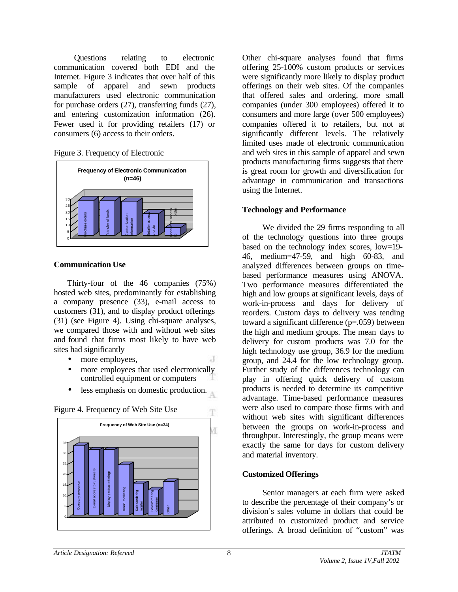Questions relating to electronic communication covered both EDI and the Internet. Figure 3 indicates that over half of this sample of apparel and sewn products manufacturers used electronic communication for purchase orders (27), transferring funds (27), and entering customization information (26). Fewer used it for providing retailers (17) or consumers (6) access to their orders.





### **Communication Use**

Thirty-four of the 46 companies (75%) hosted web sites, predominantly for establishing a company presence (33), e-mail access to customers (31), and to display product offerings (31) (see Figure 4). Using chi-square analyses, we compared those with and without web sites and found that firms most likely to have web sites had significantly

- more employees,
- more employees that used electronically controlled equipment or computers
- less emphasis on domestic production.



Company presence<br>
E-mail access to customers<br>Display product offerings<br>Display product offering<br>Sales/ordering Consumer consumer<br>Consumer Consumer Consumer Other

Figure 4. Frequency of Web Site Use

Other chi-square analyses found that firms offering 25-100% custom products or services were significantly more likely to display product offerings on their web sites. Of the companies that offered sales and ordering, more small companies (under 300 employees) offered it to consumers and more large (over 500 employees) companies offered it to retailers, but not at significantly different levels. The relatively limited uses made of electronic communication and web sites in this sample of apparel and sewn products manufacturing firms suggests that there is great room for growth and diversification for advantage in communication and transactions using the Internet.

# **Technology and Performance**

We divided the 29 firms responding to all of the technology questions into three groups based on the technology index scores, low=19- 46, medium=47-59, and high 60-83, and analyzed differences between groups on timebased performance measures using ANOVA. Two performance measures differentiated the high and low groups at significant levels, days of work-in-process and days for delivery of reorders. Custom days to delivery was tending toward a significant difference (p=.059) between the high and medium groups. The mean days to delivery for custom products was 7.0 for the high technology use group, 36.9 for the medium group, and 24.4 for the low technology group. Further study of the differences technology can play in offering quick delivery of custom products is needed to determine its competitive advantage. Time-based performance measures were also used to compare those firms with and without web sites with significant differences between the groups on work-in-process and throughput. Interestingly, the group means were exactly the same for days for custom delivery and material inventory.

# **Customized Offerings**

Senior managers at each firm were asked to describe the percentage of their company's or division's sales volume in dollars that could be attributed to customized product and service offerings. A broad definition of "custom" was

T

7D)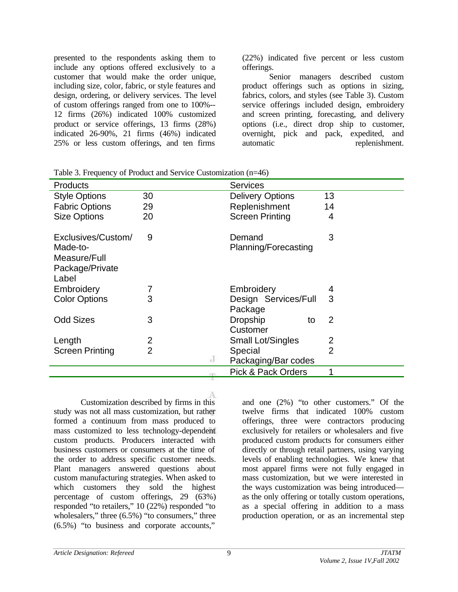presented to the respondents asking them to include any options offered exclusively to a customer that would make the order unique, including size, color, fabric, or style features and design, ordering, or delivery services. The level of custom offerings ranged from one to 100%-- 12 firms (26%) indicated 100% customized product or service offerings, 13 firms (28%) indicated 26-90%, 21 firms (46%) indicated 25% or less custom offerings, and ten firms

(22%) indicated five percent or less custom offerings.

Senior managers described custom product offerings such as options in sizing, fabrics, colors, and styles (see Table 3). Custom service offerings included design, embroidery and screen printing, forecasting, and delivery options (i.e., direct drop ship to customer, overnight, pick and pack, expedited, and automatic replenishment.

| <b>Products</b>                                                            |                | <b>Services</b>                   |                |
|----------------------------------------------------------------------------|----------------|-----------------------------------|----------------|
| <b>Style Options</b>                                                       | 30             | <b>Delivery Options</b>           | 13             |
| <b>Fabric Options</b>                                                      | 29             | Replenishment                     | 14             |
| <b>Size Options</b>                                                        | 20             | <b>Screen Printing</b>            | 4              |
| Exclusives/Custom/<br>Made-to-<br>Measure/Full<br>Package/Private<br>Label | 9              | Demand<br>Planning/Forecasting    | 3              |
| Embroidery                                                                 |                | Embroidery                        | 4              |
| <b>Color Options</b>                                                       | 3              | Design Services/Full<br>Package   | 3              |
| <b>Odd Sizes</b>                                                           | 3              | <b>Dropship</b><br>to<br>Customer | 2              |
| Length                                                                     | 2              | <b>Small Lot/Singles</b>          | 2              |
| <b>Screen Printing</b>                                                     | $\overline{2}$ | Special                           | $\overline{2}$ |
|                                                                            | J              | Packaging/Bar codes               |                |
|                                                                            |                | <b>Pick &amp; Pack Orders</b>     |                |

Table 3. Frequency of Product and Service Customization (n=46)

Customization described by firms in this study was not all mass customization, but rather formed a continuum from mass produced to mass customized to less technology-dependent custom products. Producers interacted with business customers or consumers at the time of the order to address specific customer needs. Plant managers answered questions about custom manufacturing strategies. When asked to which customers they sold the highest percentage of custom offerings, 29 (63%) responded "to retailers," 10 (22%) responded "to wholesalers," three  $(6.5\%)$  "to consumers," three (6.5%) "to business and corporate accounts,"

and one (2%) "to other customers." Of the twelve firms that indicated 100% custom offerings, three were contractors producing exclusively for retailers or wholesalers and five produced custom products for consumers either directly or through retail partners, using varying levels of enabling technologies. We knew that most apparel firms were not fully engaged in mass customization, but we were interested in the ways customization was being introduced as the only offering or totally custom operations, as a special offering in addition to a mass production operation, or as an incremental step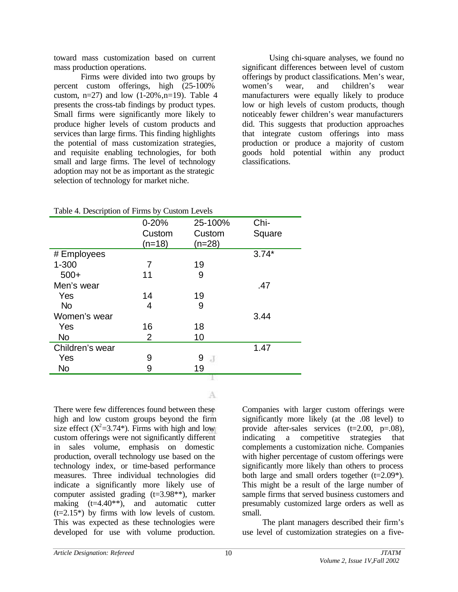toward mass customization based on current mass production operations.

Firms were divided into two groups by percent custom offerings, high (25-100% custom,  $n=27$ ) and low  $(1-20\%, n=19)$ . Table 4 presents the cross-tab findings by product types. Small firms were significantly more likely to produce higher levels of custom products and services than large firms. This finding highlights the potential of mass customization strategies, and requisite enabling technologies, for both small and large firms. The level of technology adoption may not be as important as the strategic selection of technology for market niche.

Using chi-square analyses, we found no significant differences between level of custom offerings by product classifications. Men's wear, women's wear, and children's wear manufacturers were equally likely to produce low or high levels of custom products, though noticeably fewer children's wear manufacturers did. This suggests that production approaches that integrate custom offerings into mass production or produce a majority of custom goods hold potential within any product classifications.

| ᆂ               |                |                     |         |
|-----------------|----------------|---------------------|---------|
|                 | $0 - 20%$      | 25-100%             | Chi-    |
|                 | Custom         | Custom              | Square  |
|                 | $(n=18)$       | $(n=28)$            |         |
| # Employees     |                |                     | $3.74*$ |
| $1 - 300$       | 7              | 19                  |         |
| $500+$          | 11             | 9                   |         |
| Men's wear      |                |                     | .47     |
| Yes             | 14             | 19                  |         |
| <b>No</b>       | 4              | 9                   |         |
| Women's wear    |                |                     | 3.44    |
| Yes             | 16             | 18                  |         |
| <b>No</b>       | $\overline{2}$ | 10                  |         |
| Children's wear |                |                     | 1.47    |
| Yes             | 9              | 9<br>$\overline{d}$ |         |
| <b>No</b>       | 9              | 19                  |         |
|                 |                |                     |         |

Table 4. Description of Firms by Custom Levels

A

There were few differences found between these high and low custom groups beyond the firm size effect  $(X^2=3.74^*)$ . Firms with high and low custom offerings were not significantly different in sales volume, emphasis on domestic production, overall technology use based on the technology index, or time-based performance measures. Three individual technologies did indicate a significantly more likely use of computer assisted grading (t=3.98\*\*), marker making (t=4.40\*\*), and automatic cutter  $(t=2.15*)$  by firms with low levels of custom. This was expected as these technologies were developed for use with volume production.

Companies with larger custom offerings were significantly more likely (at the .08 level) to provide after-sales services (t=2.00, p=.08), indicating a competitive strategies that complements a customization niche. Companies with higher percentage of custom offerings were significantly more likely than others to process both large and small orders together  $(t=2.09^*)$ . This might be a result of the large number of sample firms that served business customers and presumably customized large orders as well as small.

The plant managers described their firm's use level of customization strategies on a five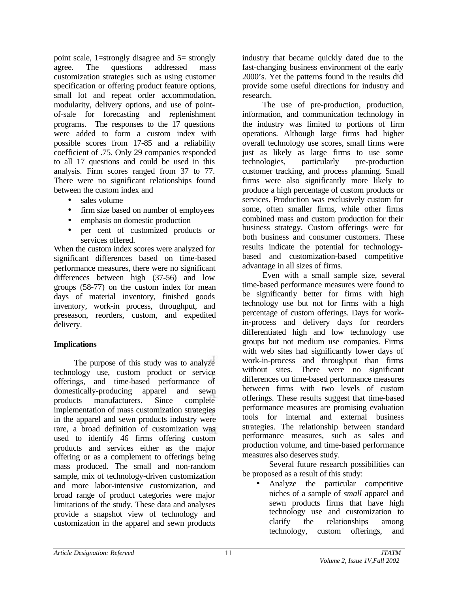point scale, 1=strongly disagree and 5= strongly agree. The questions addressed mass customization strategies such as using customer specification or offering product feature options, small lot and repeat order accommodation, modularity, delivery options, and use of pointof-sale for forecasting and replenishment programs. The responses to the 17 questions were added to form a custom index with possible scores from 17-85 and a reliability coefficient of .75. Only 29 companies responded to all 17 questions and could be used in this analysis. Firm scores ranged from 37 to 77. There were no significant relationships found between the custom index and

- sales volume
- firm size based on number of employees
- emphasis on domestic production
- per cent of customized products or services offered.

When the custom index scores were analyzed for significant differences based on time-based performance measures, there were no significant differences between high (37-56) and low groups (58-77) on the custom index for mean days of material inventory, finished goods inventory, work-in process, throughput, and preseason, reorders, custom, and expedited delivery.

### **Implications**

The purpose of this study was to analyze technology use, custom product or service offerings, and time-based performance of domestically-producing apparel and sewn products manufacturers. Since complete implementation of mass customization strategies in the apparel and sewn products industry were rare, a broad definition of customization was used to identify 46 firms offering custom products and services either as the major offering or as a complement to offerings being mass produced. The small and non-random sample, mix of technology-driven customization and more labor-intensive customization, and broad range of product categories were major limitations of the study. These data and analyses provide a snapshot view of technology and customization in the apparel and sewn products

industry that became quickly dated due to the fast-changing business environment of the early 2000's. Yet the patterns found in the results did provide some useful directions for industry and research.

The use of pre-production, production, information, and communication technology in the industry was limited to portions of firm operations. Although large firms had higher overall technology use scores, small firms were just as likely as large firms to use some technologies, particularly pre-production customer tracking, and process planning. Small firms were also significantly more likely to produce a high percentage of custom products or services. Production was exclusively custom for some, often smaller firms, while other firms combined mass and custom production for their business strategy. Custom offerings were for both business and consumer customers. These results indicate the potential for technologybased and customization-based competitive advantage in all sizes of firms.

Even with a small sample size, several time-based performance measures were found to be significantly better for firms with high technology use but not for firms with a high percentage of custom offerings. Days for workin-process and delivery days for reorders differentiated high and low technology use groups but not medium use companies. Firms with web sites had significantly lower days of work-in-process and throughput than firms without sites. There were no significant differences on time-based performance measures between firms with two levels of custom offerings. These results suggest that time-based performance measures are promising evaluation tools for internal and external business strategies. The relationship between standard performance measures, such as sales and production volume, and time-based performance measures also deserves study.

Several future research possibilities can be proposed as a result of this study:

• Analyze the particular competitive niches of a sample of *small* apparel and sewn products firms that have high technology use and customization to clarify the relationships among technology, custom offerings, and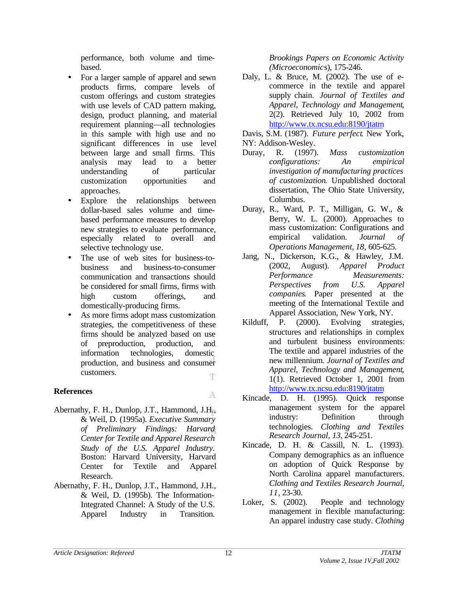performance, both volume and timebased.

- For a larger sample of apparel and sewn products firms, compare levels of custom offerings and custom strategies with use levels of CAD pattern making, design, product planning, and material requirement planning—all technologies in this sample with high use and no significant differences in use level between large and small firms. This analysis may lead to a better understanding of particular customization opportunities and approaches.
- Explore the relationships between dollar-based sales volume and timebased performance measures to develop new strategies to evaluate performance, especially related to overall and selective technology use.
- The use of web sites for business-tobusiness and business-to-consumer communication and transactions should be considered for small firms, firms with high custom offerings, and domestically-producing firms.
- As more firms adopt mass customization strategies, the competitiveness of these firms should be analyzed based on use of preproduction, production, and information technologies, domestic production, and business and consumer customers. Ŧ

# **References**

A

- Abernathy, F. H., Dunlop, J.T., Hammond, J.H., & Weil, D. (1995a). *Executive Summary of Preliminary Findings: Harvard Center for Textile and Apparel Research Study of the U.S. Apparel Industry.* Boston: Harvard University, Harvard Center for Textile and Apparel Research.
- Abernathy, F. H., Dunlop, J.T., Hammond, J.H., & Weil, D. (1995b). The Information-Integrated Channel: A Study of the U.S. Apparel Industry in Transition.

*Brookings Papers on Economic Activity (Microeconomic*s), 175-246.

Daly, L. & Bruce, M. (2002). The use of ecommerce in the textile and apparel supply chain. *Journal of Textiles and Apparel, Technology and Management*, 2(2). Retrieved July 10, 2002 from http://www.tx.ncsu.edu:8190/jtatm

Davis, S.M. (1987). *Future perfect*. New York, NY: Addison-Wesley.

- Duray, R. (1997). *Mass customization configurations: An empirical investigation of manufacturing practices of customization*. Unpublished doctoral dissertation, The Ohio State University, Columbus.
- Duray, R., Ward, P. T., Milligan, G. W., & Berry, W. L. (2000). Approaches to mass customization: Configurations and empirical validation. *Journal of Operations Management, 18,* 605-625.
- Jang, N., Dickerson, K.G., & Hawley, J.M. (2002, August). *Apparel Product Performance Measurements: Perspectives from U.S. Apparel companies*. Paper presented at the meeting of the International Textile and Apparel Association, New York, NY.
- Kilduff, P. (2000). Evolving strategies, structures and relationships in complex and turbulent business environments: The textile and apparel industries of the new millennium. *Journal of Textiles and Apparel, Technology and Management*, 1(1). Retrieved October 1, 2001 from http://www.tx.ncsu.edu:8190/jtatm
- Kincade, D. H. (1995). Quick response management system for the apparel industry: Definition through technologies. *Clothing and Textiles Research Journal, 13,* 245-251.
- Kincade, D. H. & Cassill, N. L. (1993). Company demographics as an influence on adoption of Quick Response by North Carolina apparel manufacturers. *Clothing and Textiles Research Journal, 11*, 23-30.
- Loker, S. (2002). People and technology management in flexible manufacturing: An apparel industry case study. *Clothing*